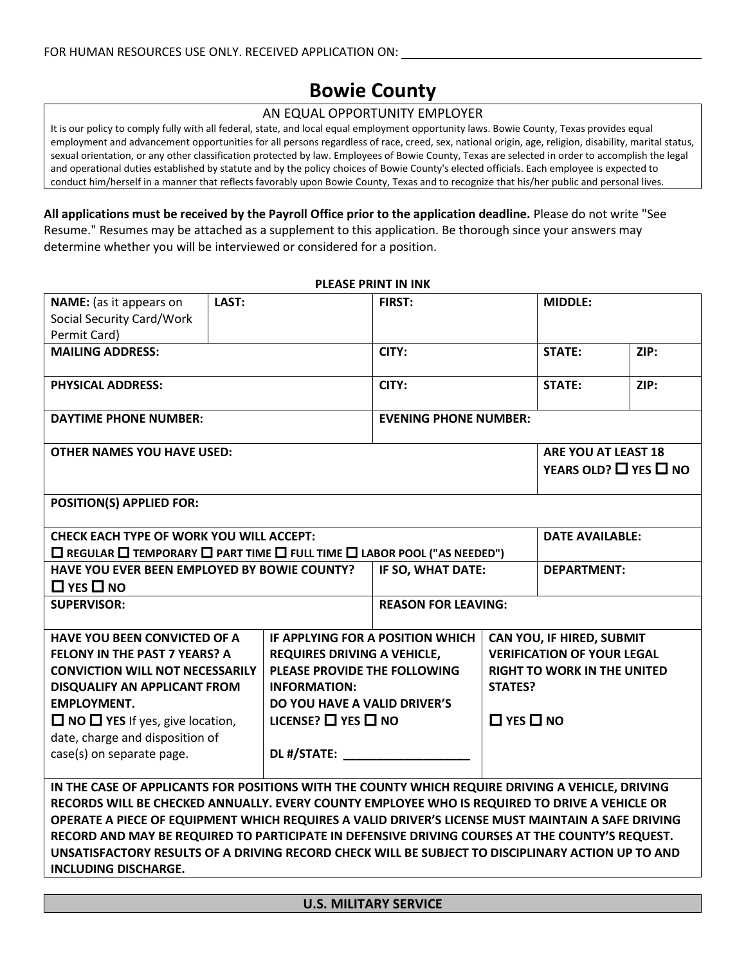# **Bowie County**

#### AN EQUAL OPPORTUNITY EMPLOYER

It is our policy to comply fully with all federal, state, and local equal employment opportunity laws. Bowie County, Texas provides equal employment and advancement opportunities for all persons regardless of race, creed, sex, national origin, age, religion, disability, marital status, sexual orientation, or any other classification protected by law. Employees of Bowie County, Texas are selected in order to accomplish the legal and operational duties established by statute and by the policy choices of Bowie County's elected officials. Each employee is expected to conduct him/herself in a manner that reflects favorably upon Bowie County, Texas and to recognize that his/her public and personal lives.

**PLEASE PRINT IN INK**

**All applications must be received by the Payroll Office prior to the application deadline.** Please do not write "See Resume." Resumes may be attached as a supplement to this application. Be thorough since your answers may determine whether you will be interviewed or considered for a position.

| NAME: (as it appears on<br>Social Security Card/Work<br>Permit Card)                                                                                                                                                                                                                                                                                                                                                                                                                                                                          | LAST: |                                                                                                                                                                                                                     | <b>FIRST:</b>                                                 |                                        | <b>MIDDLE:</b>                                                                                       |      |
|-----------------------------------------------------------------------------------------------------------------------------------------------------------------------------------------------------------------------------------------------------------------------------------------------------------------------------------------------------------------------------------------------------------------------------------------------------------------------------------------------------------------------------------------------|-------|---------------------------------------------------------------------------------------------------------------------------------------------------------------------------------------------------------------------|---------------------------------------------------------------|----------------------------------------|------------------------------------------------------------------------------------------------------|------|
| <b>MAILING ADDRESS:</b>                                                                                                                                                                                                                                                                                                                                                                                                                                                                                                                       |       |                                                                                                                                                                                                                     | CITY:                                                         |                                        | <b>STATE:</b>                                                                                        | ZIP: |
| <b>PHYSICAL ADDRESS:</b>                                                                                                                                                                                                                                                                                                                                                                                                                                                                                                                      |       |                                                                                                                                                                                                                     | CITY:                                                         |                                        | STATE:                                                                                               | ZIP: |
| <b>DAYTIME PHONE NUMBER:</b>                                                                                                                                                                                                                                                                                                                                                                                                                                                                                                                  |       |                                                                                                                                                                                                                     | <b>EVENING PHONE NUMBER:</b>                                  |                                        |                                                                                                      |      |
| <b>OTHER NAMES YOU HAVE USED:</b>                                                                                                                                                                                                                                                                                                                                                                                                                                                                                                             |       |                                                                                                                                                                                                                     | <b>ARE YOU AT LEAST 18</b><br>YEARS OLD? $\Box$ YES $\Box$ NO |                                        |                                                                                                      |      |
| <b>POSITION(S) APPLIED FOR:</b>                                                                                                                                                                                                                                                                                                                                                                                                                                                                                                               |       |                                                                                                                                                                                                                     |                                                               |                                        |                                                                                                      |      |
| <b>CHECK EACH TYPE OF WORK YOU WILL ACCEPT:</b><br>$\square$ REGULAR $\square$ TEMPORARY $\square$ PART TIME $\square$ FULL TIME $\square$ LABOR POOL ("AS NEEDED")                                                                                                                                                                                                                                                                                                                                                                           |       |                                                                                                                                                                                                                     | <b>DATE AVAILABLE:</b>                                        |                                        |                                                                                                      |      |
| HAVE YOU EVER BEEN EMPLOYED BY BOWIE COUNTY?<br>$\Box$ YES $\Box$ NO                                                                                                                                                                                                                                                                                                                                                                                                                                                                          |       |                                                                                                                                                                                                                     | IF SO, WHAT DATE:<br><b>DEPARTMENT:</b>                       |                                        |                                                                                                      |      |
| <b>SUPERVISOR:</b>                                                                                                                                                                                                                                                                                                                                                                                                                                                                                                                            |       |                                                                                                                                                                                                                     | <b>REASON FOR LEAVING:</b>                                    |                                        |                                                                                                      |      |
| <b>HAVE YOU BEEN CONVICTED OF A</b><br><b>FELONY IN THE PAST 7 YEARS? A</b><br><b>CONVICTION WILL NOT NECESSARILY</b><br><b>DISQUALIFY AN APPLICANT FROM</b><br><b>EMPLOYMENT.</b><br>$\Box$ NO $\Box$ YES If yes, give location,<br>date, charge and disposition of<br>case(s) on separate page.                                                                                                                                                                                                                                             |       | IF APPLYING FOR A POSITION WHICH<br><b>REQUIRES DRIVING A VEHICLE,</b><br>PLEASE PROVIDE THE FOLLOWING<br><b>INFORMATION:</b><br>DO YOU HAVE A VALID DRIVER'S<br>LICENSE? $\square$ YES $\square$ NO<br>DL #/STATE: |                                                               | <b>STATES?</b><br>$\Box$ YES $\Box$ NO | CAN YOU, IF HIRED, SUBMIT<br><b>VERIFICATION OF YOUR LEGAL</b><br><b>RIGHT TO WORK IN THE UNITED</b> |      |
| IN THE CASE OF APPLICANTS FOR POSITIONS WITH THE COUNTY WHICH REQUIRE DRIVING A VEHICLE, DRIVING<br>RECORDS WILL BE CHECKED ANNUALLY. EVERY COUNTY EMPLOYEE WHO IS REQUIRED TO DRIVE A VEHICLE OR<br>OPERATE A PIECE OF EQUIPMENT WHICH REQUIRES A VALID DRIVER'S LICENSE MUST MAINTAIN A SAFE DRIVING<br>RECORD AND MAY BE REQUIRED TO PARTICIPATE IN DEFENSIVE DRIVING COURSES AT THE COUNTY'S REQUEST.<br>UNSATISFACTORY RESULTS OF A DRIVING RECORD CHECK WILL BE SUBJECT TO DISCIPLINARY ACTION UP TO AND<br><b>INCLUDING DISCHARGE.</b> |       |                                                                                                                                                                                                                     |                                                               |                                        |                                                                                                      |      |

**U.S. MILITARY SERVICE**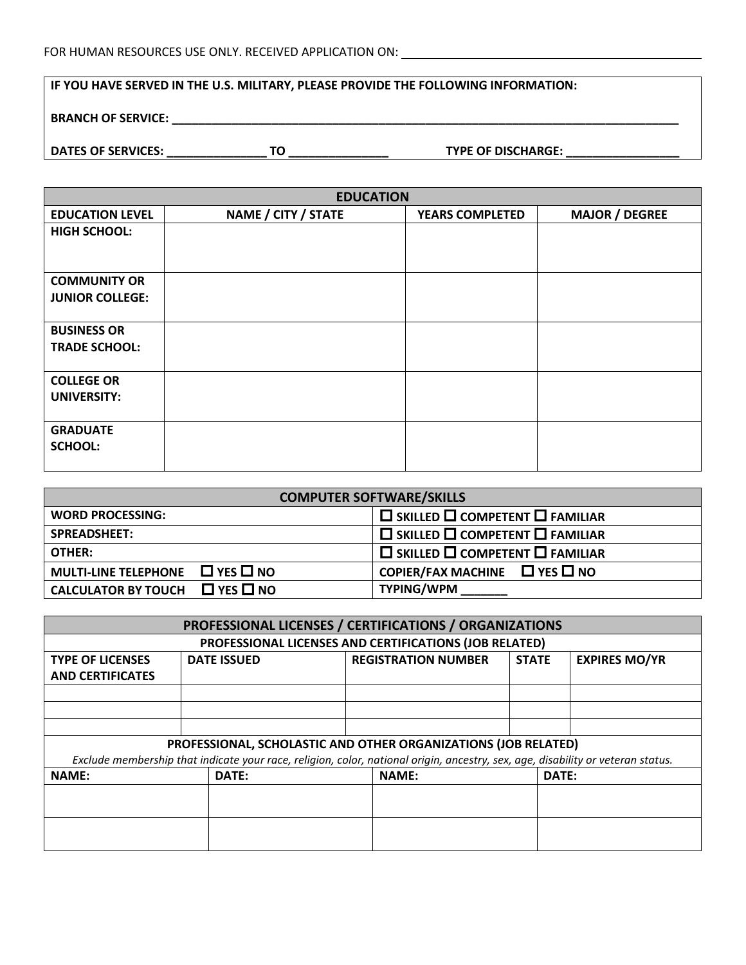#### **IF YOU HAVE SERVED IN THE U.S. MILITARY, PLEASE PROVIDE THE FOLLOWING INFORMATION:**

### **BRANCH OF SERVICE: \_\_\_\_\_\_\_\_\_\_\_\_\_\_\_\_\_\_\_\_\_\_\_\_\_\_\_\_\_\_\_\_\_\_\_\_\_\_\_\_\_\_\_\_\_\_\_\_\_\_\_\_\_\_\_\_\_\_\_\_\_\_\_\_\_\_\_\_\_\_\_\_\_\_\_\_**

**DATES OF SERVICES: \_\_\_\_\_\_\_\_\_\_\_\_\_\_\_ TO \_\_\_\_\_\_\_\_\_\_\_\_\_\_\_ TYPE OF DISCHARGE: \_\_\_\_\_\_\_\_\_\_\_\_\_\_\_\_\_**

| <b>EDUCATION</b>       |                     |                        |                       |  |  |
|------------------------|---------------------|------------------------|-----------------------|--|--|
| <b>EDUCATION LEVEL</b> | NAME / CITY / STATE | <b>YEARS COMPLETED</b> | <b>MAJOR / DEGREE</b> |  |  |
| <b>HIGH SCHOOL:</b>    |                     |                        |                       |  |  |
|                        |                     |                        |                       |  |  |
| <b>COMMUNITY OR</b>    |                     |                        |                       |  |  |
| <b>JUNIOR COLLEGE:</b> |                     |                        |                       |  |  |
| <b>BUSINESS OR</b>     |                     |                        |                       |  |  |
| <b>TRADE SCHOOL:</b>   |                     |                        |                       |  |  |
|                        |                     |                        |                       |  |  |
| <b>COLLEGE OR</b>      |                     |                        |                       |  |  |
| <b>UNIVERSITY:</b>     |                     |                        |                       |  |  |
|                        |                     |                        |                       |  |  |
| <b>GRADUATE</b>        |                     |                        |                       |  |  |
| <b>SCHOOL:</b>         |                     |                        |                       |  |  |
|                        |                     |                        |                       |  |  |

| <b>COMPUTER SOFTWARE/SKILLS</b>           |                                                          |  |  |
|-------------------------------------------|----------------------------------------------------------|--|--|
| <b>WORD PROCESSING:</b>                   | $\square$ SKILLED $\square$ COMPETENT $\square$ FAMILIAR |  |  |
| <b>SPREADSHEET:</b>                       | $\square$ SKILLED $\square$ COMPETENT $\square$ FAMILIAR |  |  |
| OTHER:                                    | $\square$ SKILLED $\square$ COMPETENT $\square$ FAMILIAR |  |  |
| MULTI-LINE TELEPHONE $\Box$ YES $\Box$ NO | COPIER/FAX MACHINE $\Box$ YES $\Box$ NO                  |  |  |
| CALCULATOR BY TOUCH $\Box$ YES $\Box$ NO  | <b>TYPING/WPM</b>                                        |  |  |

| PROFESSIONAL LICENSES / CERTIFICATIONS / ORGANIZATIONS |                                                                                                                                 |  |                                                        |              |       |                      |
|--------------------------------------------------------|---------------------------------------------------------------------------------------------------------------------------------|--|--------------------------------------------------------|--------------|-------|----------------------|
|                                                        |                                                                                                                                 |  | PROFESSIONAL LICENSES AND CERTIFICATIONS (JOB RELATED) |              |       |                      |
| <b>TYPE OF LICENSES</b>                                | <b>DATE ISSUED</b>                                                                                                              |  | <b>REGISTRATION NUMBER</b>                             | <b>STATE</b> |       | <b>EXPIRES MO/YR</b> |
| <b>AND CERTIFICATES</b>                                |                                                                                                                                 |  |                                                        |              |       |                      |
|                                                        |                                                                                                                                 |  |                                                        |              |       |                      |
|                                                        |                                                                                                                                 |  |                                                        |              |       |                      |
|                                                        |                                                                                                                                 |  |                                                        |              |       |                      |
|                                                        | PROFESSIONAL, SCHOLASTIC AND OTHER ORGANIZATIONS (JOB RELATED)                                                                  |  |                                                        |              |       |                      |
|                                                        | Exclude membership that indicate your race, religion, color, national origin, ancestry, sex, age, disability or veteran status. |  |                                                        |              |       |                      |
| <b>NAME:</b>                                           | DATE:                                                                                                                           |  | <b>NAME:</b>                                           |              | DATE: |                      |
|                                                        |                                                                                                                                 |  |                                                        |              |       |                      |
|                                                        |                                                                                                                                 |  |                                                        |              |       |                      |
|                                                        |                                                                                                                                 |  |                                                        |              |       |                      |
|                                                        |                                                                                                                                 |  |                                                        |              |       |                      |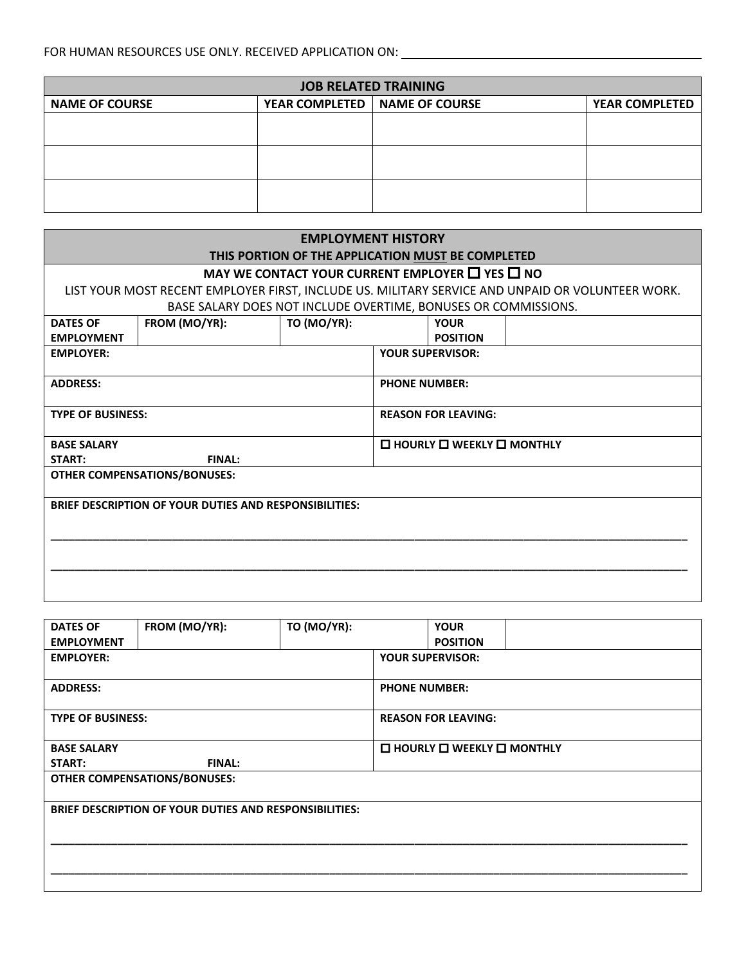| <b>JOB RELATED TRAINING</b> |  |                                 |                       |
|-----------------------------|--|---------------------------------|-----------------------|
| <b>NAME OF COURSE</b>       |  | YEAR COMPLETED   NAME OF COURSE | <b>YEAR COMPLETED</b> |
|                             |  |                                 |                       |
|                             |  |                                 |                       |
|                             |  |                                 |                       |
|                             |  |                                 |                       |
|                             |  |                                 |                       |
|                             |  |                                 |                       |

|                                                               | <b>EMPLOYMENT HISTORY</b>                                                                        |                            |                                            |                         |  |
|---------------------------------------------------------------|--------------------------------------------------------------------------------------------------|----------------------------|--------------------------------------------|-------------------------|--|
|                                                               | THIS PORTION OF THE APPLICATION MUST BE COMPLETED                                                |                            |                                            |                         |  |
|                                                               | MAY WE CONTACT YOUR CURRENT EMPLOYER $\Box$ YES $\Box$ NO                                        |                            |                                            |                         |  |
|                                                               | LIST YOUR MOST RECENT EMPLOYER FIRST, INCLUDE US. MILITARY SERVICE AND UNPAID OR VOLUNTEER WORK. |                            |                                            |                         |  |
|                                                               | BASE SALARY DOES NOT INCLUDE OVERTIME, BONUSES OR COMMISSIONS.                                   |                            |                                            |                         |  |
| <b>DATES OF</b>                                               | FROM (MO/YR):                                                                                    | <b>TO (MO/YR):</b>         |                                            | <b>YOUR</b>             |  |
| <b>EMPLOYMENT</b>                                             |                                                                                                  |                            |                                            | <b>POSITION</b>         |  |
| <b>EMPLOYER:</b>                                              |                                                                                                  |                            |                                            | <b>YOUR SUPERVISOR:</b> |  |
| <b>ADDRESS:</b>                                               |                                                                                                  |                            | <b>PHONE NUMBER:</b>                       |                         |  |
| <b>TYPE OF BUSINESS:</b>                                      |                                                                                                  | <b>REASON FOR LEAVING:</b> |                                            |                         |  |
| <b>BASE SALARY</b>                                            |                                                                                                  |                            | $\Box$ HOURLY $\Box$ WEEKLY $\Box$ MONTHLY |                         |  |
| <b>START:</b>                                                 | <b>FINAL:</b>                                                                                    |                            |                                            |                         |  |
|                                                               | <b>OTHER COMPENSATIONS/BONUSES:</b>                                                              |                            |                                            |                         |  |
| <b>BRIEF DESCRIPTION OF YOUR DUTIES AND RESPONSIBILITIES:</b> |                                                                                                  |                            |                                            |                         |  |
|                                                               |                                                                                                  |                            |                                            |                         |  |
|                                                               |                                                                                                  |                            |                                            |                         |  |

| <b>DATES OF</b>          | FROM (MO/YR):                                                 | <b>TO (MO/YR):</b>   |                         | <b>YOUR</b>                                         |  |
|--------------------------|---------------------------------------------------------------|----------------------|-------------------------|-----------------------------------------------------|--|
| <b>EMPLOYMENT</b>        |                                                               |                      |                         | <b>POSITION</b>                                     |  |
| <b>EMPLOYER:</b>         |                                                               |                      | <b>YOUR SUPERVISOR:</b> |                                                     |  |
| <b>ADDRESS:</b>          |                                                               | <b>PHONE NUMBER:</b> |                         |                                                     |  |
| <b>TYPE OF BUSINESS:</b> |                                                               |                      |                         | <b>REASON FOR LEAVING:</b>                          |  |
| <b>BASE SALARY</b>       |                                                               |                      |                         | $\square$ HOURLY $\square$ WEEKLY $\square$ MONTHLY |  |
| START:                   | <b>FINAL:</b>                                                 |                      |                         |                                                     |  |
|                          | <b>OTHER COMPENSATIONS/BONUSES:</b>                           |                      |                         |                                                     |  |
|                          | <b>BRIEF DESCRIPTION OF YOUR DUTIES AND RESPONSIBILITIES:</b> |                      |                         |                                                     |  |
|                          |                                                               |                      |                         |                                                     |  |
|                          |                                                               |                      |                         |                                                     |  |
|                          |                                                               |                      |                         |                                                     |  |
|                          |                                                               |                      |                         |                                                     |  |
|                          |                                                               |                      |                         |                                                     |  |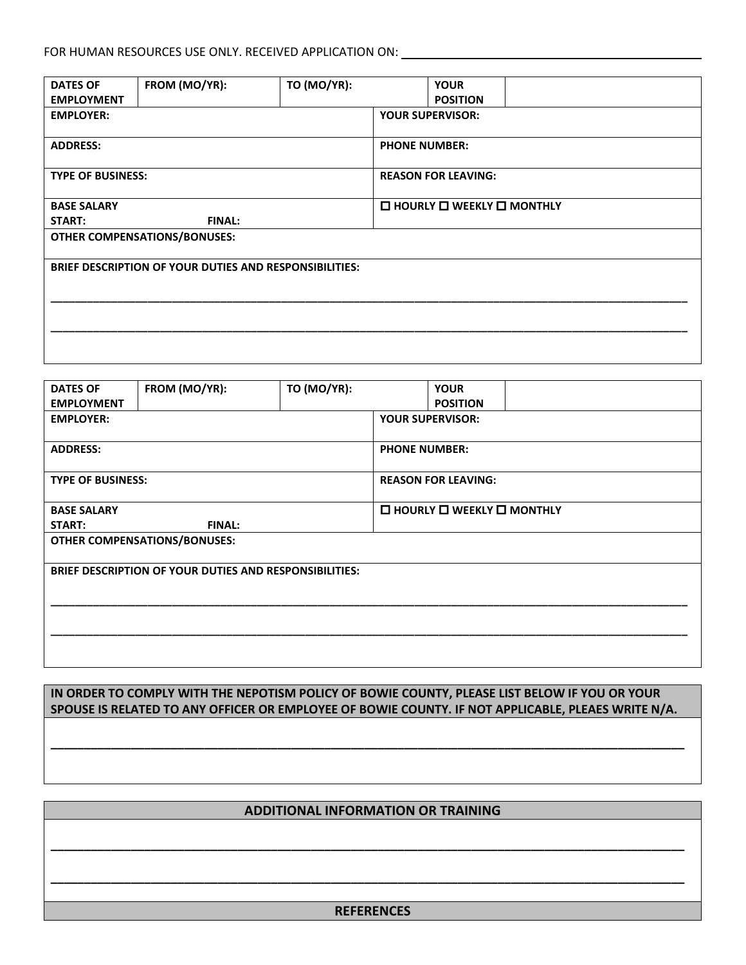| <b>DATES OF</b>          | FROM (MO/YR):                                                 | <b>TO (MO/YR):</b> |                      | <b>YOUR</b>                                |  |
|--------------------------|---------------------------------------------------------------|--------------------|----------------------|--------------------------------------------|--|
| <b>EMPLOYMENT</b>        |                                                               |                    |                      | <b>POSITION</b>                            |  |
| <b>EMPLOYER:</b>         |                                                               |                    |                      | <b>YOUR SUPERVISOR:</b>                    |  |
|                          |                                                               |                    |                      |                                            |  |
| <b>ADDRESS:</b>          |                                                               |                    | <b>PHONE NUMBER:</b> |                                            |  |
|                          |                                                               |                    |                      |                                            |  |
| <b>TYPE OF BUSINESS:</b> |                                                               |                    |                      | <b>REASON FOR LEAVING:</b>                 |  |
|                          |                                                               |                    |                      |                                            |  |
| <b>BASE SALARY</b>       |                                                               |                    |                      | $\Box$ HOURLY $\Box$ WEEKLY $\Box$ MONTHLY |  |
| START:                   | <b>FINAL:</b>                                                 |                    |                      |                                            |  |
|                          | <b>OTHER COMPENSATIONS/BONUSES:</b>                           |                    |                      |                                            |  |
|                          |                                                               |                    |                      |                                            |  |
|                          | <b>BRIEF DESCRIPTION OF YOUR DUTIES AND RESPONSIBILITIES:</b> |                    |                      |                                            |  |
|                          |                                                               |                    |                      |                                            |  |
|                          |                                                               |                    |                      |                                            |  |
|                          |                                                               |                    |                      |                                            |  |
|                          |                                                               |                    |                      |                                            |  |
|                          |                                                               |                    |                      |                                            |  |
|                          |                                                               |                    |                      |                                            |  |

| <b>DATES OF</b>          | FROM (MO/YR):                                                 | <b>TO (MO/YR):</b> |                      | <b>YOUR</b>                                         |  |
|--------------------------|---------------------------------------------------------------|--------------------|----------------------|-----------------------------------------------------|--|
| <b>EMPLOYMENT</b>        |                                                               |                    |                      | <b>POSITION</b>                                     |  |
| <b>EMPLOYER:</b>         |                                                               |                    |                      | <b>YOUR SUPERVISOR:</b>                             |  |
|                          |                                                               |                    |                      |                                                     |  |
| <b>ADDRESS:</b>          |                                                               |                    | <b>PHONE NUMBER:</b> |                                                     |  |
|                          |                                                               |                    |                      |                                                     |  |
| <b>TYPE OF BUSINESS:</b> |                                                               |                    |                      | <b>REASON FOR LEAVING:</b>                          |  |
|                          |                                                               |                    |                      |                                                     |  |
| <b>BASE SALARY</b>       |                                                               |                    |                      | $\square$ HOURLY $\square$ WEEKLY $\square$ MONTHLY |  |
| START:                   | <b>FINAL:</b>                                                 |                    |                      |                                                     |  |
|                          | <b>OTHER COMPENSATIONS/BONUSES:</b>                           |                    |                      |                                                     |  |
|                          |                                                               |                    |                      |                                                     |  |
|                          | <b>BRIEF DESCRIPTION OF YOUR DUTIES AND RESPONSIBILITIES:</b> |                    |                      |                                                     |  |
|                          |                                                               |                    |                      |                                                     |  |
|                          |                                                               |                    |                      |                                                     |  |
|                          |                                                               |                    |                      |                                                     |  |
|                          |                                                               |                    |                      |                                                     |  |
|                          |                                                               |                    |                      |                                                     |  |
|                          |                                                               |                    |                      |                                                     |  |

**IN ORDER TO COMPLY WITH THE NEPOTISM POLICY OF BOWIE COUNTY, PLEASE LIST BELOW IF YOU OR YOUR SPOUSE IS RELATED TO ANY OFFICER OR EMPLOYEE OF BOWIE COUNTY. IF NOT APPLICABLE, PLEAES WRITE N/A.**

**\_\_\_\_\_\_\_\_\_\_\_\_\_\_\_\_\_\_\_\_\_\_\_\_\_\_\_\_\_\_\_\_\_\_\_\_\_\_\_\_\_\_\_\_\_\_\_\_\_\_\_\_\_\_\_\_\_\_\_\_\_\_\_\_\_\_\_\_\_\_\_\_\_\_\_\_\_\_\_\_\_\_\_\_\_\_\_\_\_\_\_\_\_\_\_**

#### **ADDITIONAL INFORMATION OR TRAINING**

**\_\_\_\_\_\_\_\_\_\_\_\_\_\_\_\_\_\_\_\_\_\_\_\_\_\_\_\_\_\_\_\_\_\_\_\_\_\_\_\_\_\_\_\_\_\_\_\_\_\_\_\_\_\_\_\_\_\_\_\_\_\_\_\_\_\_\_\_\_\_\_\_\_\_\_\_\_\_\_\_\_\_\_\_\_\_\_\_\_\_\_\_\_\_\_**

**\_\_\_\_\_\_\_\_\_\_\_\_\_\_\_\_\_\_\_\_\_\_\_\_\_\_\_\_\_\_\_\_\_\_\_\_\_\_\_\_\_\_\_\_\_\_\_\_\_\_\_\_\_\_\_\_\_\_\_\_\_\_\_\_\_\_\_\_\_\_\_\_\_\_\_\_\_\_\_\_\_\_\_\_\_\_\_\_\_\_\_\_\_\_\_**

#### **REFERENCES**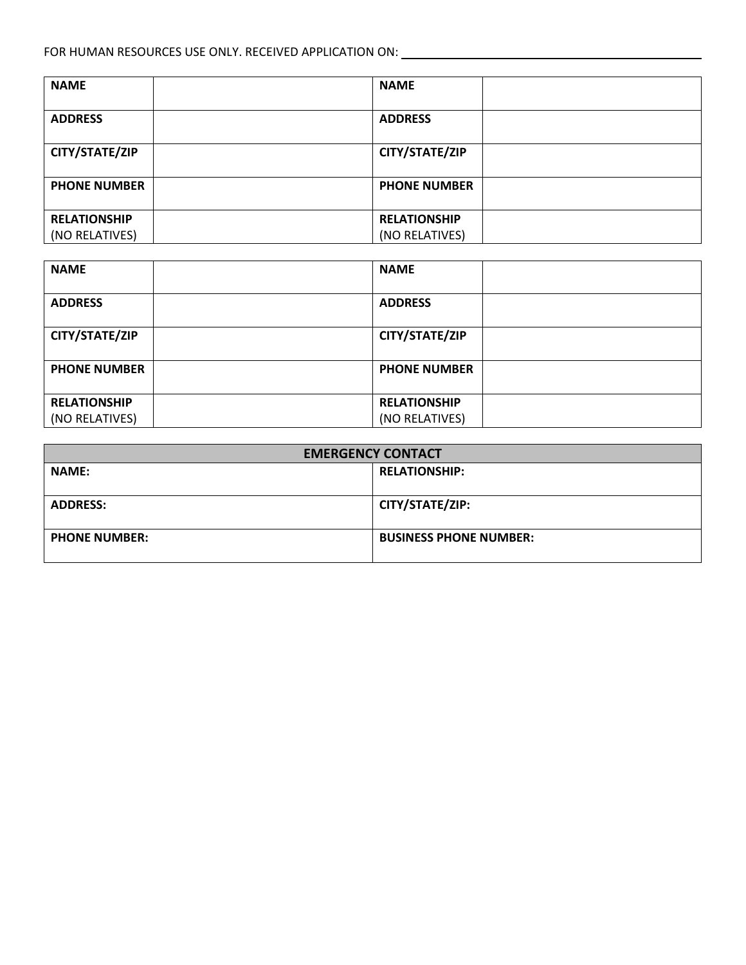| <b>NAME</b>         | <b>NAME</b>         |  |
|---------------------|---------------------|--|
| <b>ADDRESS</b>      | <b>ADDRESS</b>      |  |
| CITY/STATE/ZIP      | CITY/STATE/ZIP      |  |
| <b>PHONE NUMBER</b> | <b>PHONE NUMBER</b> |  |
| <b>RELATIONSHIP</b> | <b>RELATIONSHIP</b> |  |
| (NO RELATIVES)      | (NO RELATIVES)      |  |

| <b>NAME</b>                           | <b>NAME</b>                           |  |
|---------------------------------------|---------------------------------------|--|
| <b>ADDRESS</b>                        | <b>ADDRESS</b>                        |  |
| CITY/STATE/ZIP                        | CITY/STATE/ZIP                        |  |
| <b>PHONE NUMBER</b>                   | <b>PHONE NUMBER</b>                   |  |
| <b>RELATIONSHIP</b><br>(NO RELATIVES) | <b>RELATIONSHIP</b><br>(NO RELATIVES) |  |

| <b>EMERGENCY CONTACT</b> |                               |  |  |
|--------------------------|-------------------------------|--|--|
| <b>NAME:</b>             | <b>RELATIONSHIP:</b>          |  |  |
| <b>ADDRESS:</b>          | CITY/STATE/ZIP:               |  |  |
| <b>PHONE NUMBER:</b>     | <b>BUSINESS PHONE NUMBER:</b> |  |  |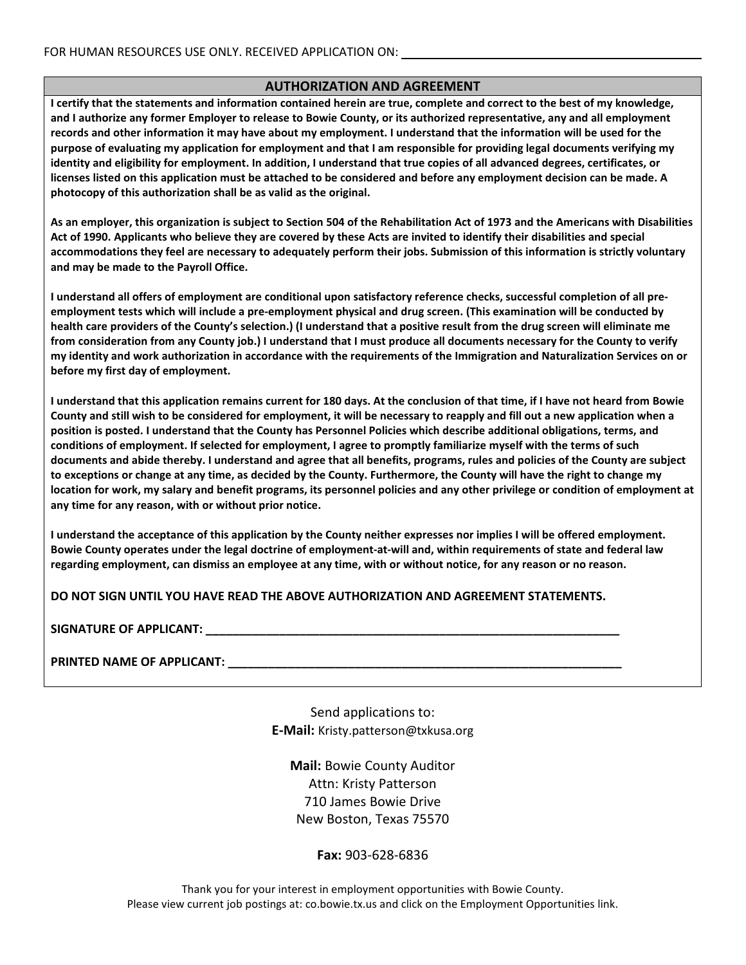#### **AUTHORIZATION AND AGREEMENT**

**I certify that the statements and information contained herein are true, complete and correct to the best of my knowledge, and I authorize any former Employer to release to Bowie County, or its authorized representative, any and all employment records and other information it may have about my employment. I understand that the information will be used for the purpose of evaluating my application for employment and that I am responsible for providing legal documents verifying my identity and eligibility for employment. In addition, I understand that true copies of all advanced degrees, certificates, or licenses listed on this application must be attached to be considered and before any employment decision can be made. A photocopy of this authorization shall be as valid as the original.** 

**As an employer, this organization is subject to Section 504 of the Rehabilitation Act of 1973 and the Americans with Disabilities Act of 1990. Applicants who believe they are covered by these Acts are invited to identify their disabilities and special accommodations they feel are necessary to adequately perform their jobs. Submission of this information is strictly voluntary and may be made to the Payroll Office.**

**I understand all offers of employment are conditional upon satisfactory reference checks, successful completion of all preemployment tests which will include a pre-employment physical and drug screen. (This examination will be conducted by health care providers of the County's selection.) (I understand that a positive result from the drug screen will eliminate me from consideration from any County job.) I understand that I must produce all documents necessary for the County to verify my identity and work authorization in accordance with the requirements of the Immigration and Naturalization Services on or before my first day of employment.** 

**I understand that this application remains current for 180 days. At the conclusion of that time, if I have not heard from Bowie County and still wish to be considered for employment, it will be necessary to reapply and fill out a new application when a position is posted. I understand that the County has Personnel Policies which describe additional obligations, terms, and conditions of employment. If selected for employment, I agree to promptly familiarize myself with the terms of such documents and abide thereby. I understand and agree that all benefits, programs, rules and policies of the County are subject to exceptions or change at any time, as decided by the County. Furthermore, the County will have the right to change my location for work, my salary and benefit programs, its personnel policies and any other privilege or condition of employment at any time for any reason, with or without prior notice.** 

**I understand the acceptance of this application by the County neither expresses nor implies I will be offered employment. Bowie County operates under the legal doctrine of employment-at-will and, within requirements of state and federal law regarding employment, can dismiss an employee at any time, with or without notice, for any reason or no reason.**

**DO NOT SIGN UNTIL YOU HAVE READ THE ABOVE AUTHORIZATION AND AGREEMENT STATEMENTS.**

**PRINTED NAME OF APPLICANT: \_\_\_\_\_\_\_\_\_\_\_\_\_\_\_\_\_\_\_\_\_\_\_\_\_\_\_\_\_\_\_\_\_\_\_\_\_\_\_\_\_\_\_\_\_\_\_\_\_\_\_\_\_\_\_\_\_\_\_**

Send applications to: **E-Mail:** Kristy.patterson@txkusa.org

**Mail:** Bowie County Auditor Attn: Kristy Patterson 710 James Bowie Drive New Boston, Texas 75570

**Fax:** 903-628-6836

Thank you for your interest in employment opportunities with Bowie County. Please view current job postings at: co.bowie.tx.us and click on the Employment Opportunities link.